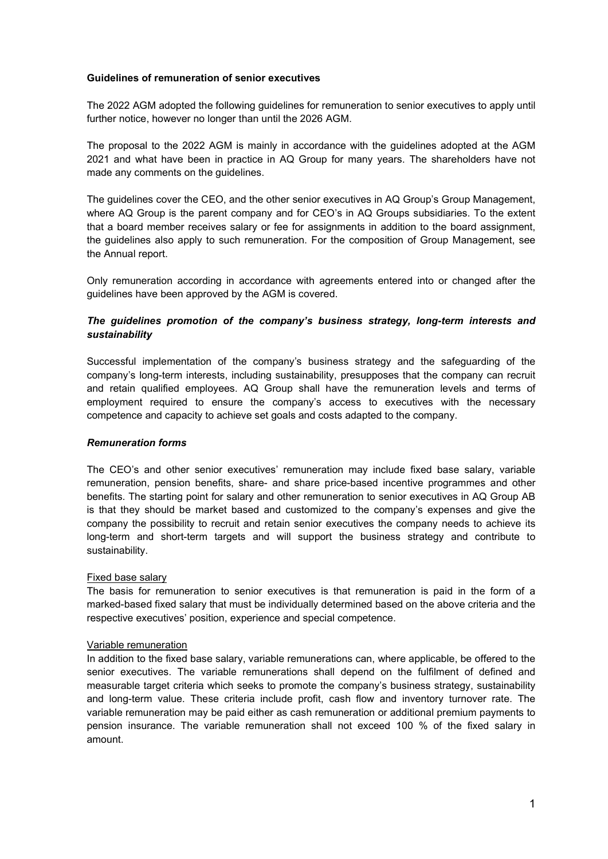### Guidelines of remuneration of senior executives

The 2022 AGM adopted the following guidelines for remuneration to senior executives to apply until further notice, however no longer than until the 2026 AGM.

The proposal to the 2022 AGM is mainly in accordance with the guidelines adopted at the AGM 2021 and what have been in practice in AQ Group for many years. The shareholders have not made any comments on the guidelines.

The guidelines cover the CEO, and the other senior executives in AQ Group's Group Management, where AQ Group is the parent company and for CEO's in AQ Groups subsidiaries. To the extent that a board member receives salary or fee for assignments in addition to the board assignment, the guidelines also apply to such remuneration. For the composition of Group Management, see the Annual report.

Only remuneration according in accordance with agreements entered into or changed after the guidelines have been approved by the AGM is covered.

# The guidelines promotion of the company's business strategy, long-term interests and sustainability

Successful implementation of the company's business strategy and the safeguarding of the company's long-term interests, including sustainability, presupposes that the company can recruit and retain qualified employees. AQ Group shall have the remuneration levels and terms of employment required to ensure the company's access to executives with the necessary competence and capacity to achieve set goals and costs adapted to the company.

## Remuneration forms

The CEO's and other senior executives' remuneration may include fixed base salary, variable remuneration, pension benefits, share- and share price-based incentive programmes and other benefits. The starting point for salary and other remuneration to senior executives in AQ Group AB is that they should be market based and customized to the company's expenses and give the company the possibility to recruit and retain senior executives the company needs to achieve its long-term and short-term targets and will support the business strategy and contribute to sustainability.

## Fixed base salary

The basis for remuneration to senior executives is that remuneration is paid in the form of a marked-based fixed salary that must be individually determined based on the above criteria and the respective executives' position, experience and special competence.

#### Variable remuneration

In addition to the fixed base salary, variable remunerations can, where applicable, be offered to the senior executives. The variable remunerations shall depend on the fulfilment of defined and measurable target criteria which seeks to promote the company's business strategy, sustainability and long-term value. These criteria include profit, cash flow and inventory turnover rate. The variable remuneration may be paid either as cash remuneration or additional premium payments to pension insurance. The variable remuneration shall not exceed 100 % of the fixed salary in amount.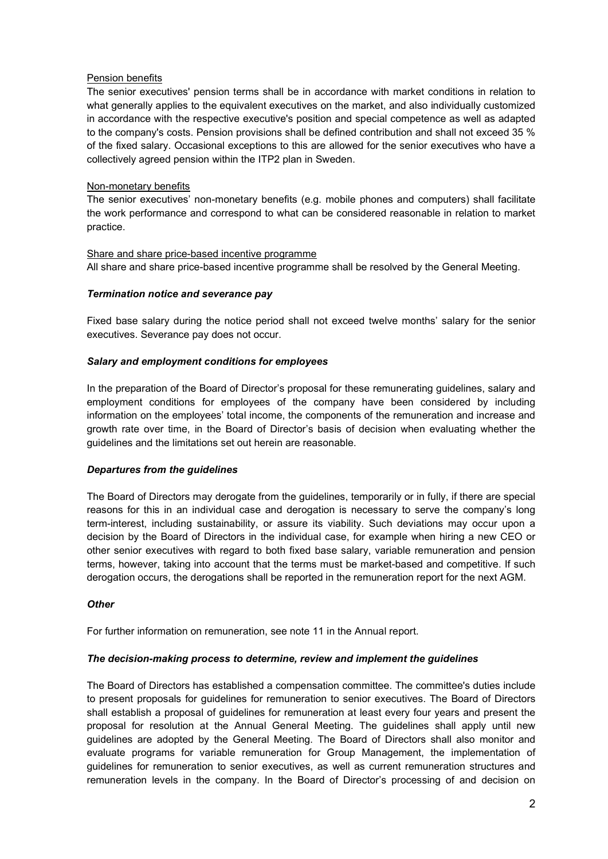## Pension benefits

The senior executives' pension terms shall be in accordance with market conditions in relation to what generally applies to the equivalent executives on the market, and also individually customized in accordance with the respective executive's position and special competence as well as adapted to the company's costs. Pension provisions shall be defined contribution and shall not exceed 35 % of the fixed salary. Occasional exceptions to this are allowed for the senior executives who have a collectively agreed pension within the ITP2 plan in Sweden.

### Non-monetary benefits

The senior executives' non-monetary benefits (e.g. mobile phones and computers) shall facilitate the work performance and correspond to what can be considered reasonable in relation to market practice.

### Share and share price-based incentive programme

All share and share price-based incentive programme shall be resolved by the General Meeting.

### Termination notice and severance pay

Fixed base salary during the notice period shall not exceed twelve months' salary for the senior executives. Severance pay does not occur.

### Salary and employment conditions for employees

In the preparation of the Board of Director's proposal for these remunerating guidelines, salary and employment conditions for employees of the company have been considered by including information on the employees' total income, the components of the remuneration and increase and growth rate over time, in the Board of Director's basis of decision when evaluating whether the guidelines and the limitations set out herein are reasonable.

#### Departures from the guidelines

The Board of Directors may derogate from the guidelines, temporarily or in fully, if there are special reasons for this in an individual case and derogation is necessary to serve the company's long term-interest, including sustainability, or assure its viability. Such deviations may occur upon a decision by the Board of Directors in the individual case, for example when hiring a new CEO or other senior executives with regard to both fixed base salary, variable remuneration and pension terms, however, taking into account that the terms must be market-based and competitive. If such derogation occurs, the derogations shall be reported in the remuneration report for the next AGM.

#### **Other**

For further information on remuneration, see note 11 in the Annual report.

## The decision-making process to determine, review and implement the guidelines

The Board of Directors has established a compensation committee. The committee's duties include to present proposals for guidelines for remuneration to senior executives. The Board of Directors shall establish a proposal of guidelines for remuneration at least every four years and present the proposal for resolution at the Annual General Meeting. The guidelines shall apply until new guidelines are adopted by the General Meeting. The Board of Directors shall also monitor and evaluate programs for variable remuneration for Group Management, the implementation of guidelines for remuneration to senior executives, as well as current remuneration structures and remuneration levels in the company. In the Board of Director's processing of and decision on